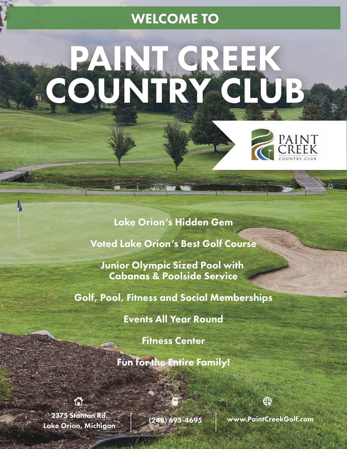# WELCOME TO

# PAINT CREEK COUNTRY CLUB



### Lake Orion's Hidden Gem

Voted Lake Orion's Best Golf Course

Junior Olympic Sized Pool with Cabanas & Poolside Service

Golf, Pool, Fitness and Social Memberships

Events All Year Round

Fitness Center

Fun for the Entire Family!

2375 Stanton Rd. Lake Orion, Michigan (248) 693-4695 www.PaintCreekGolf.com

⊕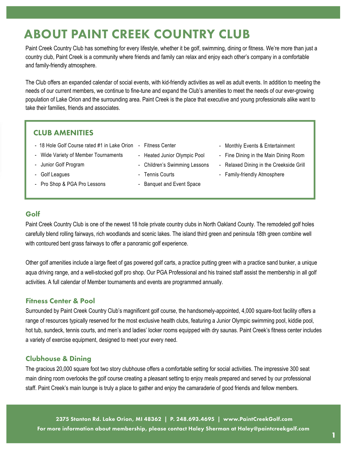# ABOUT PAINT CREEK COUNTRY CLUB

Paint Creek Country Club has something for every lifestyle, whether it be golf, swimming, dining or fitness. We're more than just a country club, Paint Creek is a community where friends and family can relax and enjoy each other's company in a comfortable and family-friendly atmosphere.

The Club offers an expanded calendar of social events, with kid-friendly activities as well as adult events. In addition to meeting the needs of our current members, we continue to fine-tune and expand the Club's amenities to meet the needs of our ever-growing population of Lake Orion and the surrounding area. Paint Creek is the place that executive and young professionals alike want to take their families, friends and associates.

#### CLUB AMENITIES

- 18 Hole Golf Course rated #1 in Lake Orion Fitness Center
- Wide Variety of Member Tournaments
- Junior Golf Program
- Golf Leagues
- Pro Shop & PGA Pro Lessons
- - Heated Junior Olympic Pool
	- Children's Swimming Lessons
	- Tennis Courts
	- Banquet and Event Space
- Monthly Events & Entertainment
- Fine Dining in the Main Dining Room
- Relaxed Dining in the Creekside Grill
- Family-friendly Atmosphere

#### Golf

Paint Creek Country Club is one of the newest 18 hole private country clubs in North Oakland County. The remodeled golf holes carefully blend rolling fairways, rich woodlands and scenic lakes. The island third green and peninsula 18th green combine well with contoured bent grass fairways to offer a panoramic golf experience.

Other golf amenities include a large fleet of gas powered golf carts, a practice putting green with a practice sand bunker, a unique aqua driving range, and a well-stocked golf pro shop. Our PGA Professional and his trained staff assist the membership in all golf activities. A full calendar of Member tournaments and events are programmed annually.

#### Fitness Center & Pool

Surrounded by Paint Creek Country Club's magnificent golf course, the handsomely-appointed, 4,000 square-foot facility offers a range of resources typically reserved for the most exclusive health clubs, featuring a Junior Olympic swimming pool, kiddie pool, hot tub, sundeck, tennis courts, and men's and ladies' locker rooms equipped with dry saunas. Paint Creek's fitness center includes a variety of exercise equipment, designed to meet your every need.

#### Clubhouse & Dining

The gracious 20,000 square foot two story clubhouse offers a comfortable setting for social activities. The impressive 300 seat main dining room overlooks the golf course creating a pleasant setting to enjoy meals prepared and served by our professional staff. Paint Creek's main lounge is truly a place to gather and enjoy the camaraderie of good friends and fellow members.

2375 Stanton Rd. Lake Orion, MI 48362 | P. 248.693.4695 | www.PaintCreekGolf.com For more information about membership, please contact Haley Sherman at Haley@paintcreekgolf.com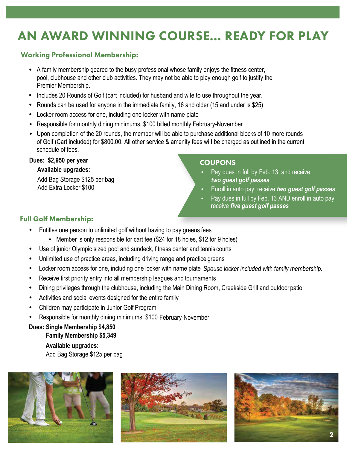# AN AWARD WINNING COURSE... READY FOR PLAY

#### Working Professional Membership:

- A family membership geared to the busy professional whose family enjoys the fitness center, pool, clubhouse and other club activities. They may not be able to play enough golf to justify the Premier Membership.
- Includes 20 Rounds of Golf (cart included) for husband and wife to use throughout the year. •
- Rounds can be used for anyone in the immediate family, 16 and older (15 and under is \$25)
- Locker room access for one, including one locker with name plate •
- Responsible for monthly dining minimums, \$100 billed monthly February-November •
- Upon completion of the 20 rounds, the member will be able to purchase additional blocks of 10 more rounds of Golf (Cart included) for \$800.00. All other service & amenity fees wiII be charged as outlined in the current schedule of fees.

#### **Dues: \$2,950 per year**

#### **Available upgrades:**

Add Bag Storage \$125 per bag Add Extra Locker \$100

#### **COUPONS**

- Pay dues in full by Feb. 13, and receive *two guest golf passes*
- Enroll in auto pay, receive *two guest golf passes*
- Pay dues in full by Feb. 13 AND enroll in auto pay, receive *five guest golf passes*

#### Full Golf Membership:

- Entitles one person to unlimited golf without having to pay greens fees
	- Member is only responsible for cart fee (\$24 for 18 holes, \$12 for 9 holes)
- Use of junior Olympic sized pool and sundeck, fitness center and tennis courts
- Unlimited use of practice areas, including driving range and practice greens
- Locker room access for one, including one locker with name plate. Spouse locker included with family membership.
- Receive first priority entry into all membership leagues and tournaments
- Dining privileges through the clubhouse, including the Main Dining Room, Creekside Grill and outdoor patio
- Activities and social events designed for the entire family
- Children may participate in Junior Golf Program
- Responsible for monthly dining minimums, \$100 February-November

#### **Dues: Single Membership \$4,850 Family Membership \$5,349**

**Available upgrades:** Add Bag Storage \$125 per bag





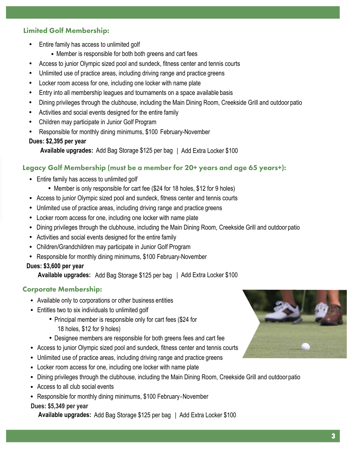#### Limited Golf Membership:

- Entire family has access to unlimited golf
	- Member is responsible for both both greens and cart fees
- Access to junior Olympic sized pool and sundeck, fitness center and tennis courts
- Unlimited use of practice areas, including driving range and practice greens
- Locker room access for one, including one locker with name plate
- Entry into all membership leagues and tournaments on a space available basis
- Dining privileges through the clubhouse, including the Main Dining Room, Creekside Grill and outdoor patio
- Activities and social events designed for the entire family
- Children may participate in Junior Golf Program
- Responsible for monthly dining minimums, \$100 February-November

#### **Dues: \$2,395 per year**

**Available upgrades:** Add Bag Storage \$125 per bag | Add Extra Locker \$100

#### Legacy Golf Membership (must be a member for 20+ years and age 65 years+):

- Entire family has access to unlimited golf
	- Member is only responsible for cart fee (\$24 for 18 holes, \$12 for 9 holes)
- Access to junior Olympic sized pool and sundeck, fitness center and tennis courts
- Unlimited use of practice areas, including driving range and practice greens •
- Locker room access for one, including one locker with name plate •
- Dining privileges through the clubhouse, including the Main Dining Room, Creekside Grill and outdoor patio
- Activities and social events designed for the entire family
- Children/Grandchildren may participate in Junior Golf Program •
- Responsible for monthly dining minimums, \$100 February-November

#### **Dues: \$3,600 per year**

**Available upgrades:** Add Bag Storage \$125 per bag | Add Extra Locker \$100

#### Corporate Membership:

- Available only to corporations or other business entities •
- Entitles two to six individuals to unlimited golf
	- Principal member is responsible only for cart fees (\$24 for 18 holes, \$12 for 9 holes)
	- Designee members are responsible for both greens fees and cart fee •
- Access to junior Olympic sized pool and sundeck, fitness center and tennis courts
- Unlimited use of practice areas, including driving range and practice greens •
- Locker room access for one, including one locker with name plate •
- Dining privileges through the clubhouse, including the Main Dining Room, Creekside Grill and outdoor patio •
- Access to all club social events
- Responsible for monthly dining minimums, \$100 February-November •

#### **Dues: \$4,999 per year Dues: \$5,349 per year**

**Available upgrades:** Add Bag Storage \$125 per bag | Add Extra Locker \$100

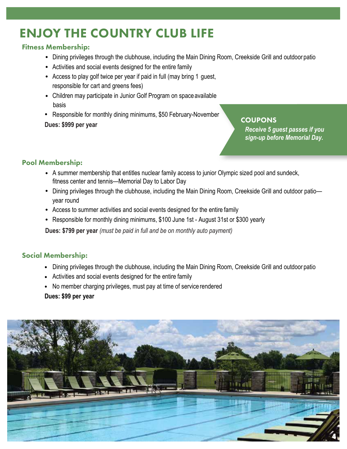# ENJOY THE COUNTRY CLUB LIFE

#### Fitness Membership:

- Dining privileges through the clubhouse, including the Main Dining Room, Creekside Grill and outdoor patio
- Activities and social events designed for the entire family
- Access to play golf twice per year if paid in full (may bring 1 guest, responsible for cart and greens fees)
- Children may participate in Junior Golf Program on space available basis
- Responsible for monthly dining minimums, \$50 February-November **Dues: \$999 per year**

#### **COUPONS**

*Receive 5 guest passes if you sign-up before Memorial Day.* 

#### Pool Membership:

- A summer membership that entitles nuclear family access to junior Olympic sized pool and sundeck, fitness center and tennis—Memorial Day to Labor Day
- Dining privileges through the clubhouse, including the Main Dining Room, Creekside Grill and outdoor patioyear round
- Access to summer activities and social events designed for the entire family •
- Responsible for monthly dining minimums, \$100 June 1st August 31st or \$300 yearly

**Dues: \$799 per year** *(must be paid in full and be on monthly auto payment)*

#### Social Membership:

- Dining privileges through the clubhouse, including the Main Dining Room, Creekside Grill and outdoor patio
- Activities and social events designed for the entire family •
- No member charging privileges, must pay at time of service rendered

#### **Dues: \$99 per year**

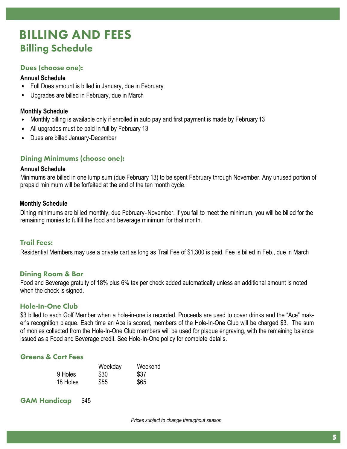## Billing Schedule BILLING AND FEES

#### Dues (choose one):

#### **Annual Schedule**

- Full Dues amount is billed in January, due in February •
- Upgrades are billed in February, due in March •

#### **Monthly Schedule**

- Monthly billing is available only if enrolled in auto pay and first payment is made by February 13 •
- All upgrades must be paid in full by February 13 •
- Dues are billed January-December •

#### Dining Minimums (choose one):

#### **Annual Schedule**

Minimums are billed in one lump sum (due February 13) to be spent February through November. Any unused portion of prepaid minimum will be forfeited at the end of the ten month cycle.

#### **Monthly Schedule**

Dining minimums are billed monthly, due February-November. If you fail to meet the minimum, you will be billed for the remaining monies to fulfill the food and beverage minimum for that month.

#### Trail Fees:

Residential Members may use a private cart as long as Trail Fee of \$1,300 is paid. Fee is billed in Feb., due in March

#### Dining Room & Bar

Food and Beverage gratuity of 18% plus 6% tax per check added automatically unless an additional amount is noted when the check is signed.

#### Hole-In-One Club

\$3 billed to each Golf Member when a hole-in-one is recorded. Proceeds are used to cover drinks and the "Ace" maker's recognition plaque. Each time an Ace is scored, members of the Hole-In-One Club will be charged \$3. The sum of monies collected from the Hole-In-One Club members will be used for plaque engraving, with the remaining balance issued as a Food and Beverage credit. See Hole-In-One policy for complete details.

#### Greens & Cart Fees

|          | Weekday | Weekend |
|----------|---------|---------|
| 9 Holes  | \$30    | \$37    |
| 18 Holes | \$55    | \$65    |

GAM Handicap \$45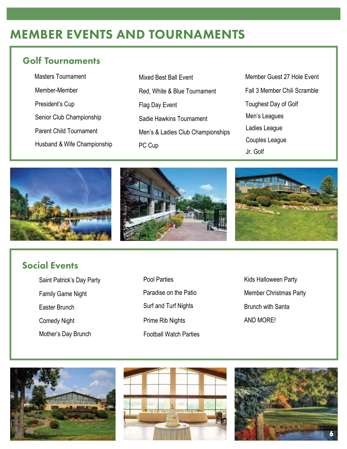# MEMBER EVENTS AND TOURNAMENTS

## Golf Tournaments

| <b>Masters Tournament</b>      |
|--------------------------------|
| Member-Member                  |
| President's Cup                |
| Senior Club Championship       |
| <b>Parent Child Tournament</b> |
| Husband & Wife Championship    |

- Mixed Best Ball Event Red, White & Blue Tournament Flag Day Event Sadie Hawkins Tournament Men's & Ladies Club Championships PC Cup
- Member Guest 27 Hole Event Fall 3 Member Chili Scramble Toughest Day of Golf Men's Leagues Ladies League Couples League Jr. Golf







## Social Events

- Saint Patrick's Day Party **Pool Parties** Family Game Night Easter Brunch Surf and Turf Nights Comedy Night **Prime Rib Nights** Mother's Day Brunch
	- Football Watch Parties Paradise on the Patio
- Kids Halloween Party Member Christmas Party Brunch with Santa AND MORE!





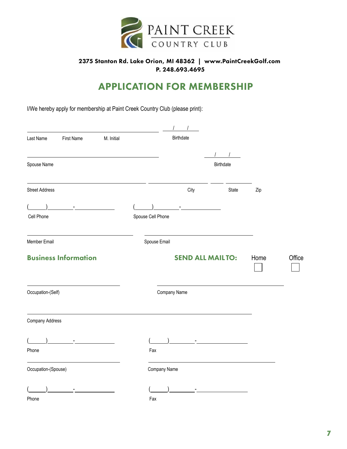

#### 2375 Stanton Rd. Lake Orion, MI 48362 | www.PaintCreekGolf.com P. 248.693.4695

## APPLICATION FOR MEMBERSHIP

I/We hereby apply for membership at Paint Creek Country Club (please print):

| M. Initial<br>Last Name<br><b>First Name</b> |                   | <b>Birthdate</b>              |                                         |      |        |
|----------------------------------------------|-------------------|-------------------------------|-----------------------------------------|------|--------|
|                                              |                   |                               |                                         |      |        |
| Spouse Name                                  |                   |                               | Birthdate                               |      |        |
| <b>Street Address</b>                        |                   | City                          | State                                   | Zip  |        |
| and the state of the state of the            |                   | and the state of the state of |                                         |      |        |
| Cell Phone                                   | Spouse Cell Phone |                               |                                         |      |        |
| Member Email                                 |                   | Spouse Email                  |                                         |      |        |
| <b>Business Information</b>                  |                   |                               | <b>SEND ALL MAILTO:</b>                 | Home | Office |
| Occupation-(Self)                            |                   | Company Name                  |                                         |      |        |
| <b>Company Address</b>                       |                   |                               |                                         |      |        |
| the control of the control of the            |                   |                               | <u> 1980 - Andrea Station (b. 1980)</u> |      |        |
| Phone                                        | Fax               |                               |                                         |      |        |
| Occupation-(Spouse)                          |                   | Company Name                  |                                         |      |        |
| $\overline{\phantom{a}}$                     |                   | <b>Contract Contract</b>      |                                         |      |        |
| Phone                                        | Fax               |                               |                                         |      |        |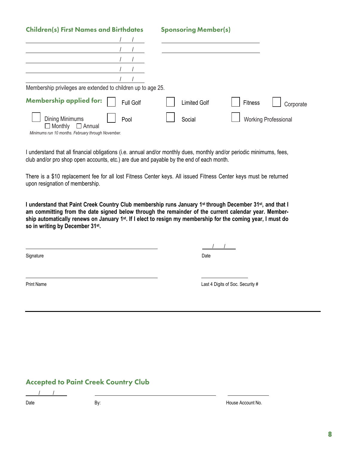| <b>Children(s) First Names and Birthdates</b>                |                  | <b>Sponsoring Member(s)</b> |         |                             |
|--------------------------------------------------------------|------------------|-----------------------------|---------|-----------------------------|
|                                                              |                  |                             |         |                             |
|                                                              |                  |                             |         |                             |
|                                                              |                  |                             |         |                             |
|                                                              |                  |                             |         |                             |
|                                                              |                  |                             |         |                             |
| Membership privileges are extended to children up to age 25. |                  |                             |         |                             |
| <b>Membership applied for:</b>                               | <b>Full Golf</b> | <b>Limited Golf</b>         | Fitness | Corporate                   |
| Dining Minimums<br>Pool<br>$\Box$ Monthly<br>$\Box$ Annual   |                  | Social                      |         | <b>Working Professional</b> |
| Minimums run 10 months. February through November.           |                  |                             |         |                             |

I understand that all financial obligations (i.e. annual and/or monthly dues, monthly and/or periodic minimums, fees, club and/or pro shop open accounts, etc.) are due and payable by the end of each month.

There is a \$10 replacement fee for all lost Fitness Center keys. All issued Fitness Center keys must be returned upon resignation of membership.

l understand that Paint Creek Country Club membership runs January 1st through December 31st, and that I **am committing from the date signed below through the remainder of the current calendar year. Member**ship automatically renews on January 1st. If I elect to resign my membership for the coming year, I must do **so in writing by December 31st .**

Signature Date **Date of the Contract of Contract Contract of Contract Contract Contract Only and Date Only and D** 

/ /

Print Name Last 4 Digits of Soc. Security #

#### Accepted to Paint Creek Country Club

/ /

Date By: House Account No.

**8**